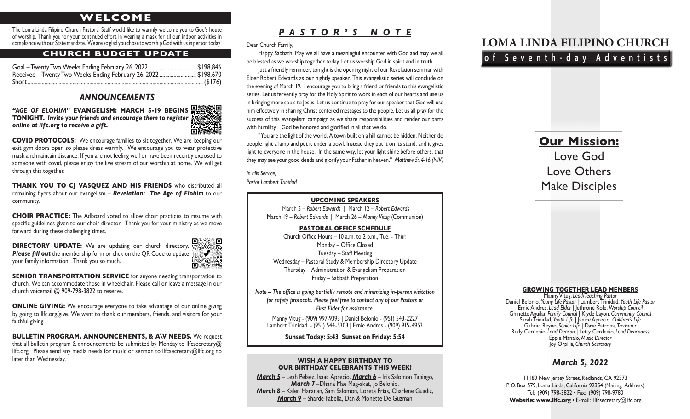## **WELCOME**

The Loma Linda Filipino Church Pastoral Staff would like to warmly welcome you to God's house of worship. Thank you for your continued effort in wearing a mask for all our indoor activities in compliance with our State mandate. We are so glad you chose to worship God with us in person today!

### **CHURCH BUDGET UPDATE**

| Received - Twenty Two Weeks Ending February 26, 2022 \$198,670 |  |
|----------------------------------------------------------------|--|
|                                                                |  |

### *ANNOUNCEMENTS*

*"AGE OF ELOHIM"* **EVANGELISM: MARCH 5-19 BEGINS TONIGHT.** *Invite your friends and encourage them to register online at llfc.org to receive a gift.*



**THANK YOU TO CI VASOUEZ AND HIS FRIENDS** who distributed all remaining flyers about our evangelism – *Revelation: The Age of Elohim* to our community.

**CHOIR PRACTICE:** The Adboard voted to allow choir practices to resume with specific guidelines given to our choir director. Thank you for your ministry as we move forward during these challenging times.

**DIRECTORY UPDATE:** We are updating our church directory. **Please fill out** the membership form or click on the QR Code to update  $\mathbb{R}$ your family information. Thank you so much.



**SENIOR TRANSPORTATION SERVICE** for anyone needing transportation to church. We can accommodate those in wheelchair. Please call or leave a message in our church voicemail @ 909-798-3822 to reserve.

**ONLINE GIVING:** We encourage everyone to take advantage of our online giving by going to llfc.org/give. We want to thank our members, friends, and visitors for your faithful giving.

**BULLETIN PROGRAM, ANNOUNCEMENTS, & A\V NEEDS.** We request that all bulletin program & announcements be submitted by Monday to llfcsecretary $@$ llfc.org. Please send any media needs for music or sermon to llfcsecretary@llfc.org no later than Wednesday.

## *PASTOR'S NOTE*

Dear Church Family,

Happy Sabbath. May we all have a meaningful encounter with God and may we all be blessed as we worship together today. Let us worship God in spirit and in truth.

Just a friendly reminder, tonight is the opening night of our Revelation seminar with Elder Robert Edwards as our nightly speaker. This evangelistic series will conclude on the evening of March 19. I encourage you to bring a friend or friends to this evangelistic series. Let us fervently pray for the Holy Spirit to work in each of our hearts and use us in bringing more souls to Jesus. Let us continue to pray for our speaker that God will use him effectively in sharing Christ centered messages to the people. Let us all pray for the success of this evangelism campaign as we share responsibilities and render our parts with humility . God be honored and glorified in all that we do.

"You are the light of the world. A town built on a hill cannot be hidden. Neither do people light a lamp and put it under a bowl. Instead they put it on its stand, and it gives light to everyone in the house. In the same way, let your light shine before others, that they may see your good deeds and glorify your Father in heaven." *Matthew 5:14-16 (NIV)*

*In His Service,*

*Pastor Lambert Trinidad*

### **UPCOMING SPEAKERS**

March 5 – *Robert Edwards* | March 12 – *Robert Edwards* March 19 – *Robert Edwards* | March 26 – *Manny Vitug* (Communion)

**PASTORAL OFFICE SCHEDULE** Church Office Hours – 10 a.m. to 2 p.m., Tue. - Thur. Monday – Office Closed Tuesday – Staff Meeting Wednesday – Pastoral Study & Membership Directory Update

Thursday – Administration & Evangelism Preparation Friday – Sabbath Preparation

*Note – The office is going partially remote and minimizing in-person visitation for safety protocols. Please feel free to contact any of our Pastors or First Elder for assistance.*

Manny Vitug - (909) 997-9393 | Daniel Belonio - (951) 543-2227 Lambert Trinidad - (951) 544-5303 | Ernie Andres - (909) 915-4953

**Sunset Today: 5:43 Sunset on Friday: 5:54**

### **WISH A HAPPY BIRTHDAY TO OUR BIRTHDAY CELEBRANTS THIS WEEK!**

*March 5* – Leah Pelaez, Isaac Aprecio, *March 6* – Iris Salomon Tabingo, *March 7* –Dhana Mae Mag-akat, Jo Belonio, *March 8* – Kalen Maranan, Sam Salomon, Loreta Frias, Charlene Guadiz, *March 9* – Sharde Fabella, Dan & Monette De Guzman

# **LOMA LINDA FILIPINO CHURCH of Seventh-day Adventists**

# **Our Mission:** Love God Love Others Make Disciples

### **GROWING TOGETHER LEAD MEMBERS**

Manny Vitug, *Lead/Teaching Pastor*<br>Daniel Belonio, Young Life Pastor | Lambert Trinidad, Youth Life Pastor Daniel Belonio, *Young Life Pastor* | Lambert Trinidad, *Youth Life Pastor* Ernie Andres, *Lead Elder* | Jethrone Role, *Worship Council* Ghinette Aguilar, *Family Council* | Klyde Layon, *Community Council* Sarah Trinidad, *Youth Life |* Janice Aprecio, *Children's Life* Gabriel Reyno, *Senior Life* | Dave Patrona, *Treasurer* Rudy Cerdenio, *Lead Deacon |* Letty Cerdenio, *Lead Deaconess* Eppie Manalo, *Music Director* Joy Orpilla*, Church Secretary*

### *March 5, 2022*

11180 New Jersey Street, Redlands, CA 92373 P. O. Box 579, Loma Linda, California 92354 (Mailing Address) Tel: (909) 798-3822 • Fax: (909) 798-9780 Website: www.llfc.org · E-mail: llfcsecretary@llfc.org